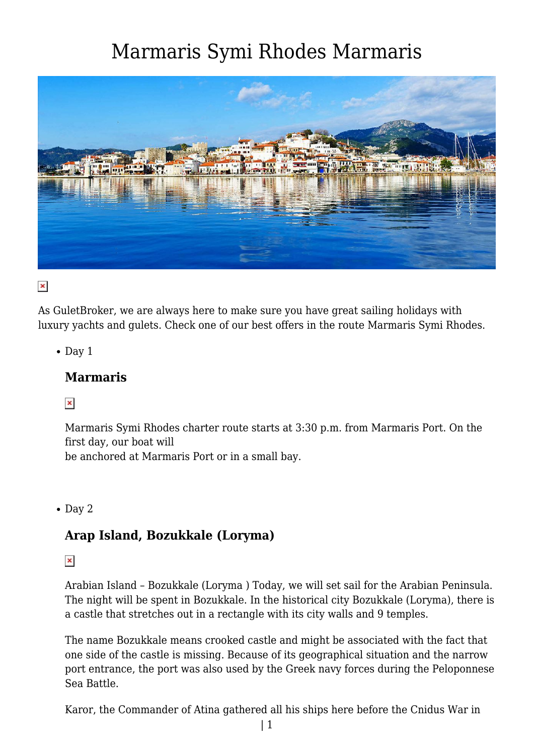

 $\pmb{\times}$ 

As GuletBroker, we are always here to make sure you have great sailing holidays with luxury yachts and gulets. Check one of our best offers in the route Marmaris Symi Rhodes.

 $\bullet$  Day 1

#### **Marmaris**

 $\pmb{\times}$ 

Marmaris Symi Rhodes charter route starts at 3:30 p.m. from Marmaris Port. On the first day, our boat will

be anchored at Marmaris Port or in a small bay.

 $\bullet$  Day 2

#### **Arap Island, Bozukkale (Loryma)**

 $\pmb{\times}$ 

Arabian Island – Bozukkale (Loryma ) Today, we will set sail for the Arabian Peninsula. The night will be spent in Bozukkale. In the historical city Bozukkale (Loryma), there is a castle that stretches out in a rectangle with its city walls and 9 temples.

The name Bozukkale means crooked castle and might be associated with the fact that one side of the castle is missing. Because of its geographical situation and the narrow port entrance, the port was also used by the Greek navy forces during the Peloponnese Sea Battle.

Karor, the Commander of Atina gathered all his ships here before the Cnidus War in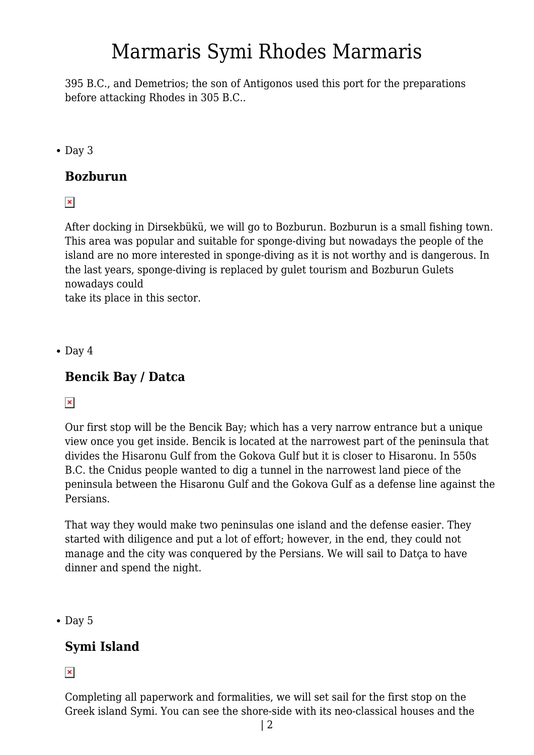395 B.C., and Demetrios; the son of Antigonos used this port for the preparations before attacking Rhodes in 305 B.C..

• Day 3

### **Bozburun**

 $\pmb{\times}$ 

After docking in Dirsekbükü, we will go to Bozburun. Bozburun is a small fishing town. This area was popular and suitable for sponge-diving but nowadays the people of the island are no more interested in sponge-diving as it is not worthy and is dangerous. In the last years, sponge-diving is replaced by gulet tourism and Bozburun Gulets nowadays could

take its place in this sector.

 $\bullet$  Day 4

### **Bencik Bay / Datca**

#### $\pmb{\times}$

Our first stop will be the Bencik Bay; which has a very narrow entrance but a unique view once you get inside. Bencik is located at the narrowest part of the peninsula that divides the Hisaronu Gulf from the Gokova Gulf but it is closer to Hisaronu. In 550s B.C. the Cnidus people wanted to dig a tunnel in the narrowest land piece of the peninsula between the Hisaronu Gulf and the Gokova Gulf as a defense line against the Persians.

That way they would make two peninsulas one island and the defense easier. They started with diligence and put a lot of effort; however, in the end, they could not manage and the city was conquered by the Persians. We will sail to Datça to have dinner and spend the night.

 $\bullet$  Day 5

### **Symi Island**

 $\pmb{\times}$ 

Completing all paperwork and formalities, we will set sail for the first stop on the Greek island Symi. You can see the shore-side with its neo-classical houses and the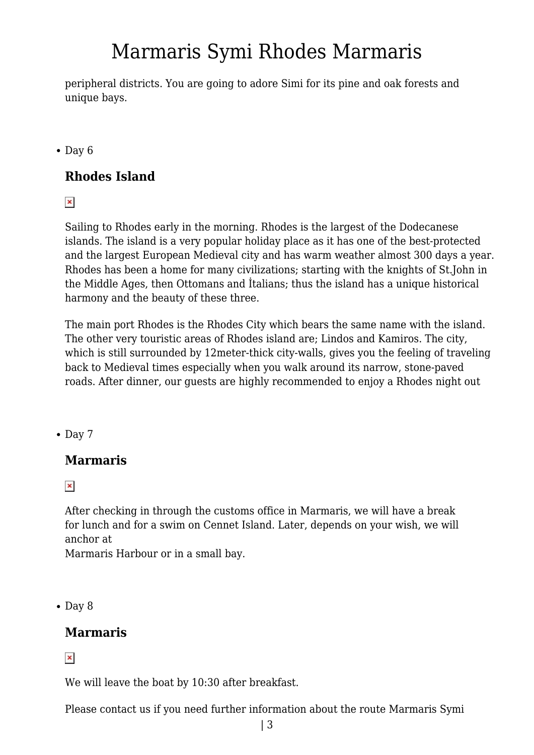peripheral districts. You are going to adore Simi for its pine and oak forests and unique bays.

 $\bullet$  Day 6

### **Rhodes Island**

 $\pmb{\times}$ 

Sailing to Rhodes early in the morning. Rhodes is the largest of the Dodecanese islands. The island is a very popular holiday place as it has one of the best-protected and the largest European Medieval city and has warm weather almost 300 days a year. Rhodes has been a home for many civilizations; starting with the knights of St.John in the Middle Ages, then Ottomans and İtalians; thus the island has a unique historical harmony and the beauty of these three.

The main port Rhodes is the Rhodes City which bears the same name with the island. The other very touristic areas of Rhodes island are; Lindos and Kamiros. The city, which is still surrounded by 12meter-thick city-walls, gives you the feeling of traveling back to Medieval times especially when you walk around its narrow, stone-paved roads. After dinner, our guests are highly recommended to enjoy a Rhodes night out

 $\bullet$  Day 7

### **Marmaris**

 $\pmb{\times}$ 

After checking in through the customs office in Marmaris, we will have a break for lunch and for a swim on Cennet Island. Later, depends on your wish, we will anchor at

Marmaris Harbour or in a small bay.

 $\bullet$  Day 8

### **Marmaris**

 $\pmb{\times}$ 

We will leave the boat by 10:30 after breakfast.

Please contact us if you need further information about the route Marmaris Symi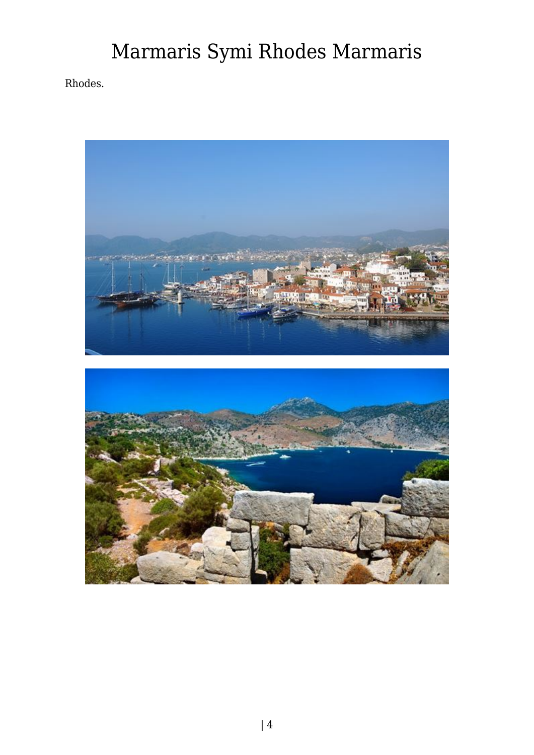Rhodes.

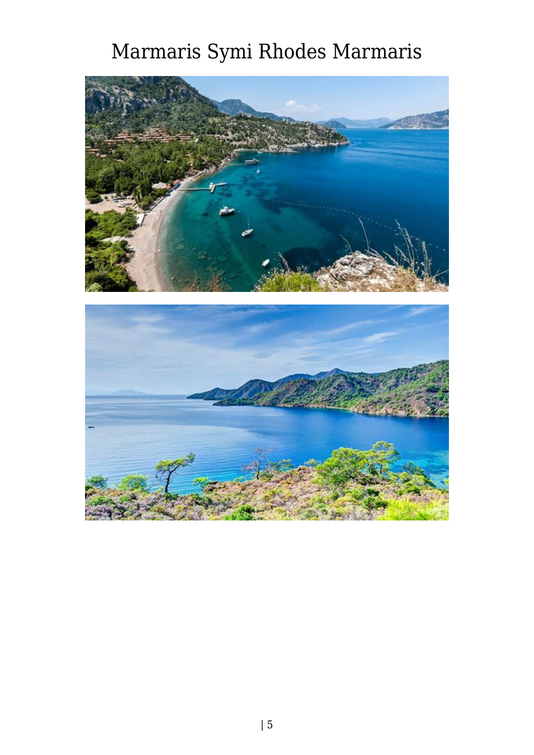

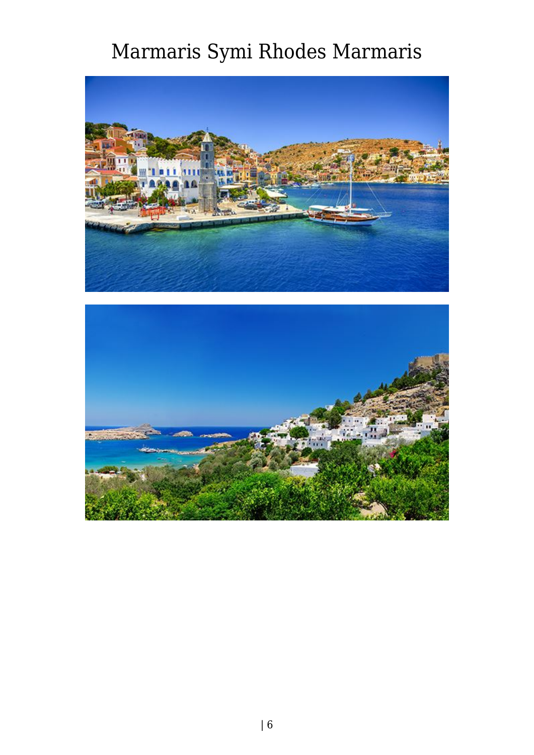